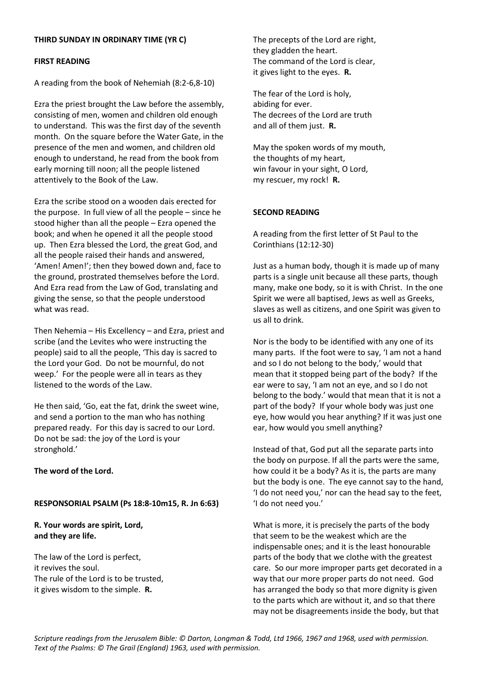# **THIRD SUNDAY IN ORDINARY TIME (YR C)**

#### **FIRST READING**

A reading from the book of Nehemiah (8:2-6,8-10)

Ezra the priest brought the Law before the assembly, consisting of men, women and children old enough to understand. This was the first day of the seventh month. On the square before the Water Gate, in the presence of the men and women, and children old enough to understand, he read from the book from early morning till noon; all the people listened attentively to the Book of the Law.

Ezra the scribe stood on a wooden dais erected for the purpose. In full view of all the people – since he stood higher than all the people – Ezra opened the book; and when he opened it all the people stood up. Then Ezra blessed the Lord, the great God, and all the people raised their hands and answered, 'Amen! Amen!'; then they bowed down and, face to the ground, prostrated themselves before the Lord. And Ezra read from the Law of God, translating and giving the sense, so that the people understood what was read.

Then Nehemia – His Excellency – and Ezra, priest and scribe (and the Levites who were instructing the people) said to all the people, 'This day is sacred to the Lord your God. Do not be mournful, do not weep.' For the people were all in tears as they listened to the words of the Law.

He then said, 'Go, eat the fat, drink the sweet wine, and send a portion to the man who has nothing prepared ready. For this day is sacred to our Lord. Do not be sad: the joy of the Lord is your stronghold.'

**The word of the Lord.**

# **RESPONSORIAL PSALM (Ps 18:8-10m15, R. Jn 6:63)**

**R. Your words are spirit, Lord, and they are life.**

The law of the Lord is perfect, it revives the soul. The rule of the Lord is to be trusted, it gives wisdom to the simple. **R.**

The precepts of the Lord are right, they gladden the heart. The command of the Lord is clear, it gives light to the eyes. **R.**

The fear of the Lord is holy, abiding for ever. The decrees of the Lord are truth and all of them just. **R.**

May the spoken words of my mouth, the thoughts of my heart, win favour in your sight, O Lord, my rescuer, my rock! **R.**

# **SECOND READING**

A reading from the first letter of St Paul to the Corinthians (12:12-30)

Just as a human body, though it is made up of many parts is a single unit because all these parts, though many, make one body, so it is with Christ. In the one Spirit we were all baptised, Jews as well as Greeks, slaves as well as citizens, and one Spirit was given to us all to drink.

Nor is the body to be identified with any one of its many parts. If the foot were to say, 'I am not a hand and so I do not belong to the body,' would that mean that it stopped being part of the body? If the ear were to say, 'I am not an eye, and so I do not belong to the body.' would that mean that it is not a part of the body? If your whole body was just one eye, how would you hear anything? If it was just one ear, how would you smell anything?

Instead of that, God put all the separate parts into the body on purpose. If all the parts were the same, how could it be a body? As it is, the parts are many but the body is one. The eye cannot say to the hand, 'I do not need you,' nor can the head say to the feet, 'I do not need you.'

What is more, it is precisely the parts of the body that seem to be the weakest which are the indispensable ones; and it is the least honourable parts of the body that we clothe with the greatest care. So our more improper parts get decorated in a way that our more proper parts do not need. God has arranged the body so that more dignity is given to the parts which are without it, and so that there may not be disagreements inside the body, but that